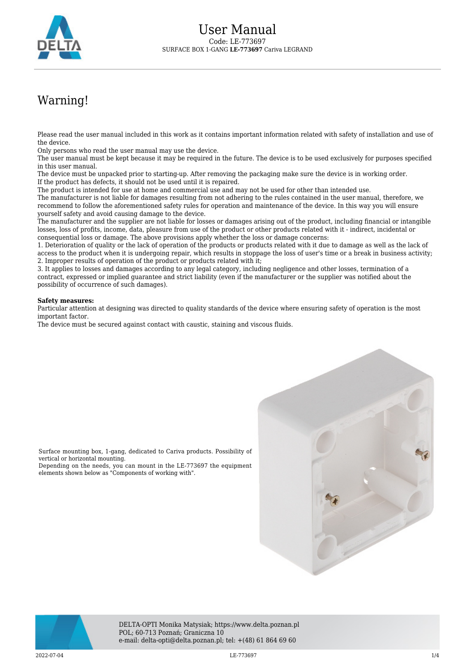

## Warning!

Please read the user manual included in this work as it contains important information related with safety of installation and use of the device.

Only persons who read the user manual may use the device.

The user manual must be kept because it may be required in the future. The device is to be used exclusively for purposes specified in this user manual.

The device must be unpacked prior to starting-up. After removing the packaging make sure the device is in working order. If the product has defects, it should not be used until it is repaired.

The product is intended for use at home and commercial use and may not be used for other than intended use.

The manufacturer is not liable for damages resulting from not adhering to the rules contained in the user manual, therefore, we recommend to follow the aforementioned safety rules for operation and maintenance of the device. In this way you will ensure yourself safety and avoid causing damage to the device.

The manufacturer and the supplier are not liable for losses or damages arising out of the product, including financial or intangible losses, loss of profits, income, data, pleasure from use of the product or other products related with it - indirect, incidental or consequential loss or damage. The above provisions apply whether the loss or damage concerns:

1. Deterioration of quality or the lack of operation of the products or products related with it due to damage as well as the lack of access to the product when it is undergoing repair, which results in stoppage the loss of user's time or a break in business activity; 2. Improper results of operation of the product or products related with it;

3. It applies to losses and damages according to any legal category, including negligence and other losses, termination of a contract, expressed or implied guarantee and strict liability (even if the manufacturer or the supplier was notified about the possibility of occurrence of such damages).

## **Safety measures:**

vertical or horizontal mounting.

Particular attention at designing was directed to quality standards of the device where ensuring safety of operation is the most important factor.

The device must be secured against contact with caustic, staining and viscous fluids.

Surface mounting box, 1-gang, dedicated to Cariva products. Possibility of

Depending on the needs, you can mount in the LE-773697 the equipment

elements shown below as "Components of working with".





DELTA-OPTI Monika Matysiak; https://www.delta.poznan.pl POL; 60-713 Poznań; Graniczna 10 e-mail: delta-opti@delta.poznan.pl; tel: +(48) 61 864 69 60

2022-07-04 **LE-773697** LE-773697 **1/4**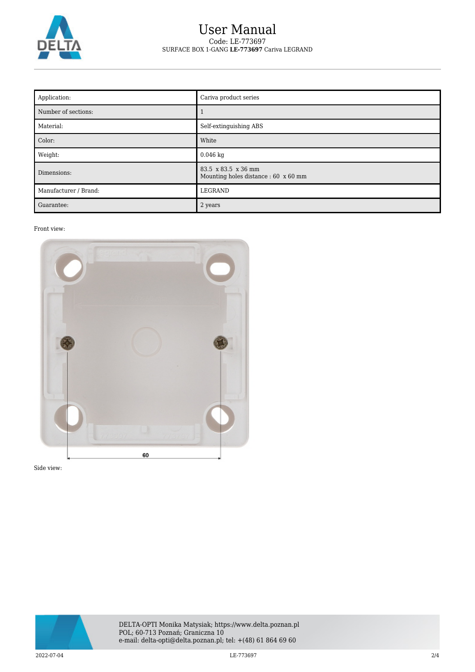

## User Manual Code: LE-773697 SURFACE BOX 1-GANG **LE-773697** Cariva LEGRAND

| Application:          | Cariva product series                                       |
|-----------------------|-------------------------------------------------------------|
| Number of sections:   |                                                             |
| Material:             | Self-extinguishing ABS                                      |
| Color:                | White                                                       |
| Weight:               | $0.046$ kg                                                  |
| Dimensions:           | 83.5 x 83.5 x 36 mm<br>Mounting holes distance : 60 x 60 mm |
| Manufacturer / Brand: | LEGRAND                                                     |
| Guarantee:            | 2 years                                                     |

## Front view:



Side view:

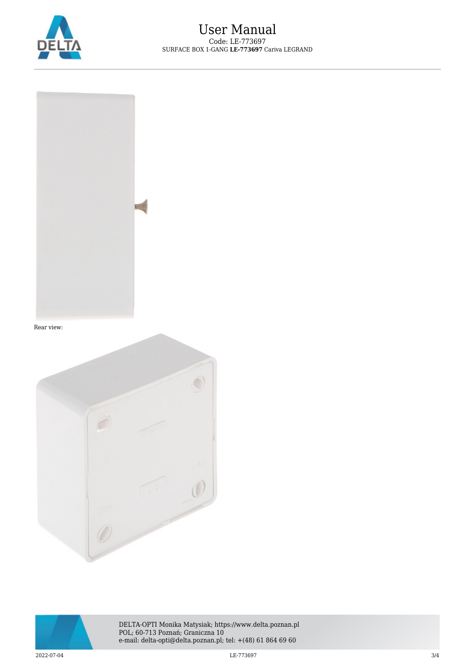